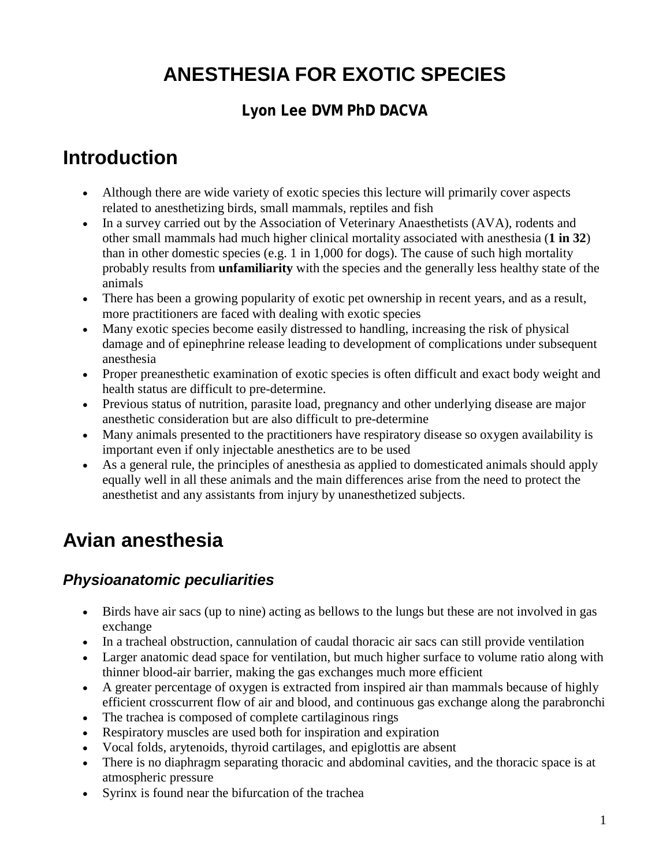# **ANESTHESIA FOR EXOTIC SPECIES**

### **Lyon Lee DVM PhD DACVA**

## **Introduction**

- Although there are wide variety of exotic species this lecture will primarily cover aspects related to anesthetizing birds, small mammals, reptiles and fish
- In a survey carried out by the Association of Veterinary Anaesthetists (AVA), rodents and other small mammals had much higher clinical mortality associated with anesthesia (**1 in 32**) than in other domestic species (e.g. 1 in 1,000 for dogs). The cause of such high mortality probably results from **unfamiliarity** with the species and the generally less healthy state of the animals
- There has been a growing popularity of exotic pet ownership in recent years, and as a result, more practitioners are faced with dealing with exotic species
- Many exotic species become easily distressed to handling, increasing the risk of physical damage and of epinephrine release leading to development of complications under subsequent anesthesia
- Proper preanesthetic examination of exotic species is often difficult and exact body weight and health status are difficult to pre-determine.
- Previous status of nutrition, parasite load, pregnancy and other underlying disease are major anesthetic consideration but are also difficult to pre-determine
- Many animals presented to the practitioners have respiratory disease so oxygen availability is important even if only injectable anesthetics are to be used
- As a general rule, the principles of anesthesia as applied to domesticated animals should apply equally well in all these animals and the main differences arise from the need to protect the anesthetist and any assistants from injury by unanesthetized subjects.

# **Avian anesthesia**

### *Physioanatomic peculiarities*

- Birds have air sacs (up to nine) acting as bellows to the lungs but these are not involved in gas exchange
- In a tracheal obstruction, cannulation of caudal thoracic air sacs can still provide ventilation
- Larger anatomic dead space for ventilation, but much higher surface to volume ratio along with thinner blood-air barrier, making the gas exchanges much more efficient
- A greater percentage of oxygen is extracted from inspired air than mammals because of highly efficient crosscurrent flow of air and blood, and continuous gas exchange along the parabronchi
- The trachea is composed of complete cartilaginous rings
- Respiratory muscles are used both for inspiration and expiration
- Vocal folds, arytenoids, thyroid cartilages, and epiglottis are absent
- There is no diaphragm separating thoracic and abdominal cavities, and the thoracic space is at atmospheric pressure
- Syrinx is found near the bifurcation of the trachea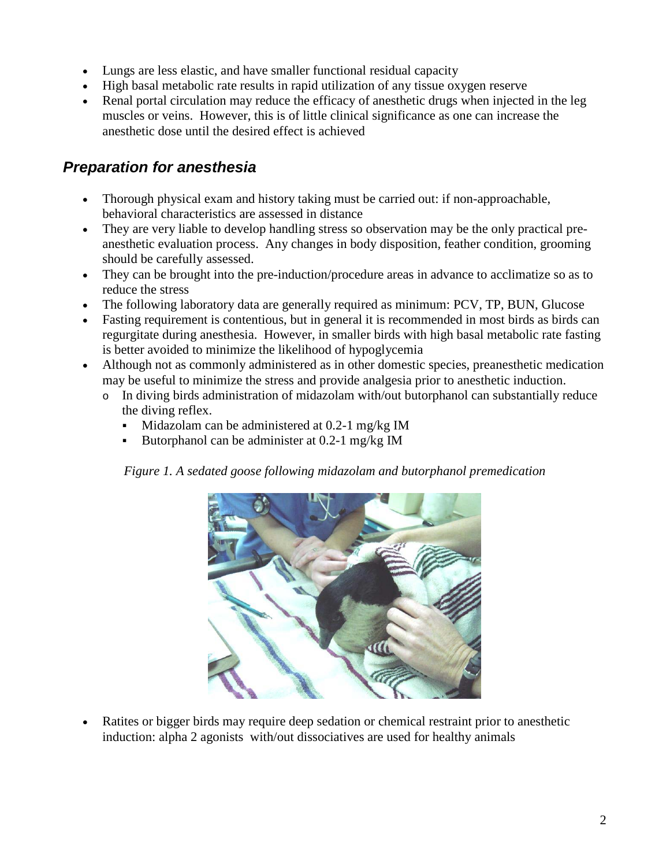- Lungs are less elastic, and have smaller functional residual capacity
- High basal metabolic rate results in rapid utilization of any tissue oxygen reserve
- Renal portal circulation may reduce the efficacy of anesthetic drugs when injected in the leg muscles or veins. However, this is of little clinical significance as one can increase the anesthetic dose until the desired effect is achieved

### *Preparation for anesthesia*

- Thorough physical exam and history taking must be carried out: if non-approachable, behavioral characteristics are assessed in distance
- They are very liable to develop handling stress so observation may be the only practical preanesthetic evaluation process. Any changes in body disposition, feather condition, grooming should be carefully assessed.
- They can be brought into the pre-induction/procedure areas in advance to acclimatize so as to reduce the stress
- The following laboratory data are generally required as minimum: PCV, TP, BUN, Glucose
- Fasting requirement is contentious, but in general it is recommended in most birds as birds can regurgitate during anesthesia. However, in smaller birds with high basal metabolic rate fasting is better avoided to minimize the likelihood of hypoglycemia
- Although not as commonly administered as in other domestic species, preanesthetic medication may be useful to minimize the stress and provide analgesia prior to anesthetic induction.
	- o In diving birds administration of midazolam with/out butorphanol can substantially reduce the diving reflex.
		- $\blacksquare$  Midazolam can be administered at 0.2-1 mg/kg IM
		- Butorphanol can be administer at 0.2-1 mg/kg IM

*Figure 1. A sedated goose following midazolam and butorphanol premedication*



• Ratites or bigger birds may require deep sedation or chemical restraint prior to anesthetic induction: alpha 2 agonists with/out dissociatives are used for healthy animals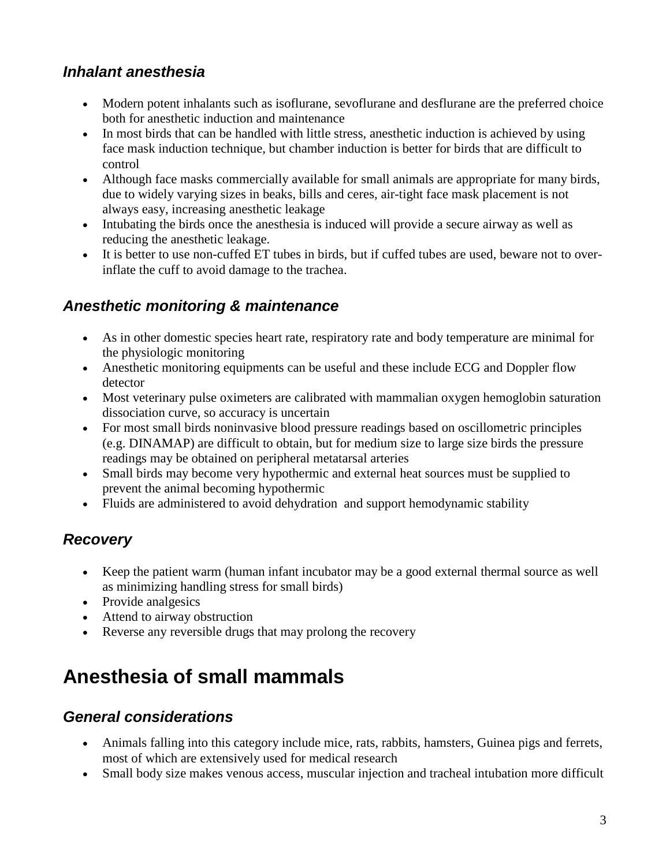#### *Inhalant anesthesia*

- Modern potent inhalants such as isoflurane, sevoflurane and desflurane are the preferred choice both for anesthetic induction and maintenance
- In most birds that can be handled with little stress, anesthetic induction is achieved by using face mask induction technique, but chamber induction is better for birds that are difficult to control
- Although face masks commercially available for small animals are appropriate for many birds, due to widely varying sizes in beaks, bills and ceres, air-tight face mask placement is not always easy, increasing anesthetic leakage
- Intubating the birds once the anesthesia is induced will provide a secure airway as well as reducing the anesthetic leakage.
- It is better to use non-cuffed ET tubes in birds, but if cuffed tubes are used, beware not to overinflate the cuff to avoid damage to the trachea.

#### *Anesthetic monitoring & maintenance*

- As in other domestic species heart rate, respiratory rate and body temperature are minimal for the physiologic monitoring
- Anesthetic monitoring equipments can be useful and these include ECG and Doppler flow detector
- Most veterinary pulse oximeters are calibrated with mammalian oxygen hemoglobin saturation dissociation curve, so accuracy is uncertain
- For most small birds noninvasive blood pressure readings based on oscillometric principles (e.g. DINAMAP) are difficult to obtain, but for medium size to large size birds the pressure readings may be obtained on peripheral metatarsal arteries
- Small birds may become very hypothermic and external heat sources must be supplied to prevent the animal becoming hypothermic
- Fluids are administered to avoid dehydration and support hemodynamic stability

### *Recovery*

- Keep the patient warm (human infant incubator may be a good external thermal source as well as minimizing handling stress for small birds)
- Provide analgesics
- Attend to airway obstruction
- Reverse any reversible drugs that may prolong the recovery

## **Anesthesia of small mammals**

#### *General considerations*

- Animals falling into this category include mice, rats, rabbits, hamsters, Guinea pigs and ferrets, most of which are extensively used for medical research
- Small body size makes venous access, muscular injection and tracheal intubation more difficult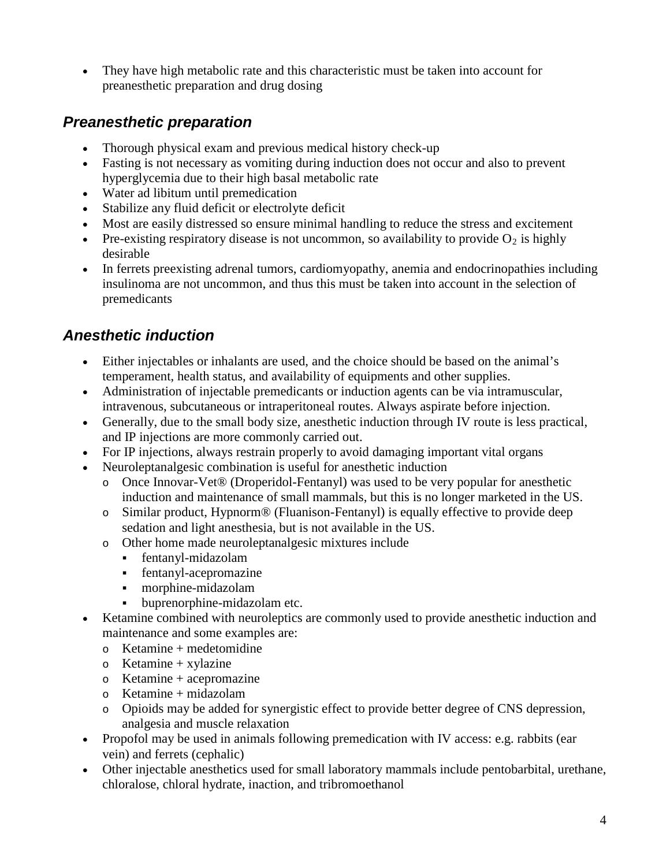• They have high metabolic rate and this characteristic must be taken into account for preanesthetic preparation and drug dosing

#### *Preanesthetic preparation*

- Thorough physical exam and previous medical history check-up
- Fasting is not necessary as vomiting during induction does not occur and also to prevent hyperglycemia due to their high basal metabolic rate
- Water ad libitum until premedication
- Stabilize any fluid deficit or electrolyte deficit
- Most are easily distressed so ensure minimal handling to reduce the stress and excitement
- Pre-existing respiratory disease is not uncommon, so availability to provide  $O_2$  is highly desirable
- In ferrets preexisting adrenal tumors, cardiomyopathy, anemia and endocrinopathies including insulinoma are not uncommon, and thus this must be taken into account in the selection of premedicants

#### *Anesthetic induction*

- Either injectables or inhalants are used, and the choice should be based on the animal's temperament, health status, and availability of equipments and other supplies.
- Administration of injectable premedicants or induction agents can be via intramuscular, intravenous, subcutaneous or intraperitoneal routes. Always aspirate before injection.
- Generally, due to the small body size, anesthetic induction through IV route is less practical, and IP injections are more commonly carried out.
- For IP injections, always restrain properly to avoid damaging important vital organs
- Neuroleptanalgesic combination is useful for anesthetic induction
	- o Once Innovar-Vet® (Droperidol-Fentanyl) was used to be very popular for anesthetic induction and maintenance of small mammals, but this is no longer marketed in the US.
	- o Similar product, Hypnorm® (Fluanison-Fentanyl) is equally effective to provide deep sedation and light anesthesia, but is not available in the US.
	- o Other home made neuroleptanalgesic mixtures include
		- fentanyl-midazolam
		- fentanyl-acepromazine
		- morphine-midazolam
		- buprenorphine-midazolam etc.
- Ketamine combined with neuroleptics are commonly used to provide anesthetic induction and maintenance and some examples are:
	- $\circ$  Ketamine + medetomidine
	- $\circ$  Ketamine + xylazine
	- o Ketamine + acepromazine
	- $\circ$  Ketamine + midazolam
	- o Opioids may be added for synergistic effect to provide better degree of CNS depression, analgesia and muscle relaxation
- Propofol may be used in animals following premedication with IV access: e.g. rabbits (ear vein) and ferrets (cephalic)
- Other injectable anesthetics used for small laboratory mammals include pentobarbital, urethane, chloralose, chloral hydrate, inaction, and tribromoethanol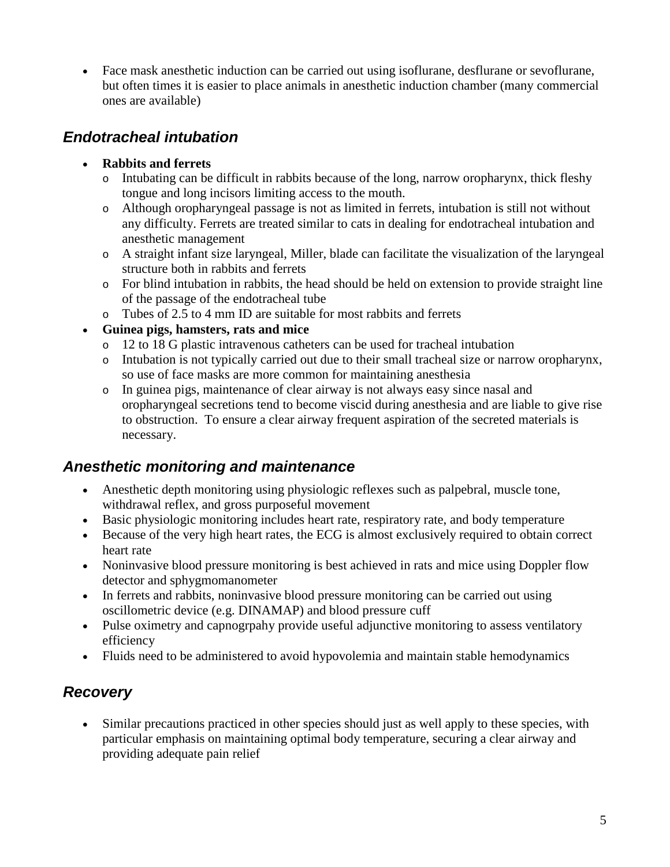• Face mask anesthetic induction can be carried out using isoflurane, desflurane or sevoflurane, but often times it is easier to place animals in anesthetic induction chamber (many commercial ones are available)

#### *Endotracheal intubation*

#### • **Rabbits and ferrets**

- o Intubating can be difficult in rabbits because of the long, narrow oropharynx, thick fleshy tongue and long incisors limiting access to the mouth.
- o Although oropharyngeal passage is not as limited in ferrets, intubation is still not without any difficulty. Ferrets are treated similar to cats in dealing for endotracheal intubation and anesthetic management
- o A straight infant size laryngeal, Miller, blade can facilitate the visualization of the laryngeal structure both in rabbits and ferrets
- o For blind intubation in rabbits, the head should be held on extension to provide straight line of the passage of the endotracheal tube
- o Tubes of 2.5 to 4 mm ID are suitable for most rabbits and ferrets

#### • **Guinea pigs, hamsters, rats and mice**

- o 12 to 18 G plastic intravenous catheters can be used for tracheal intubation
- o Intubation is not typically carried out due to their small tracheal size or narrow oropharynx, so use of face masks are more common for maintaining anesthesia
- o In guinea pigs, maintenance of clear airway is not always easy since nasal and oropharyngeal secretions tend to become viscid during anesthesia and are liable to give rise to obstruction. To ensure a clear airway frequent aspiration of the secreted materials is necessary.

#### *Anesthetic monitoring and maintenance*

- Anesthetic depth monitoring using physiologic reflexes such as palpebral, muscle tone, withdrawal reflex, and gross purposeful movement
- Basic physiologic monitoring includes heart rate, respiratory rate, and body temperature
- Because of the very high heart rates, the ECG is almost exclusively required to obtain correct heart rate
- Noninvasive blood pressure monitoring is best achieved in rats and mice using Doppler flow detector and sphygmomanometer
- In ferrets and rabbits, noninvasive blood pressure monitoring can be carried out using oscillometric device (e.g. DINAMAP) and blood pressure cuff
- Pulse oximetry and capnogrpahy provide useful adjunctive monitoring to assess ventilatory efficiency
- Fluids need to be administered to avoid hypovolemia and maintain stable hemodynamics

#### *Recovery*

• Similar precautions practiced in other species should just as well apply to these species, with particular emphasis on maintaining optimal body temperature, securing a clear airway and providing adequate pain relief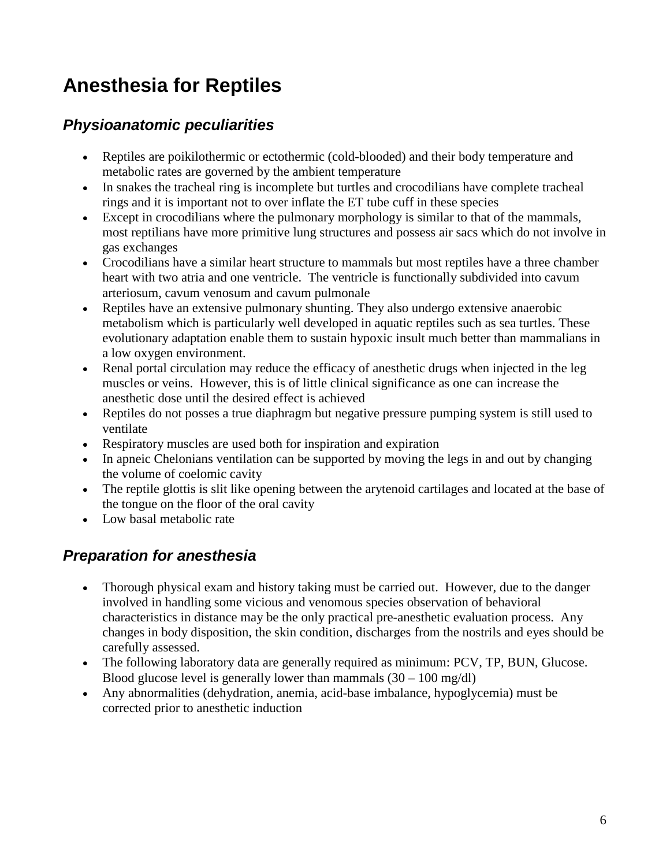## **Anesthesia for Reptiles**

#### *Physioanatomic peculiarities*

- Reptiles are poikilothermic or ectothermic (cold-blooded) and their body temperature and metabolic rates are governed by the ambient temperature
- In snakes the tracheal ring is incomplete but turtles and crocodilians have complete tracheal rings and it is important not to over inflate the ET tube cuff in these species
- Except in crocodilians where the pulmonary morphology is similar to that of the mammals, most reptilians have more primitive lung structures and possess air sacs which do not involve in gas exchanges
- Crocodilians have a similar heart structure to mammals but most reptiles have a three chamber heart with two atria and one ventricle. The ventricle is functionally subdivided into cavum arteriosum, cavum venosum and cavum pulmonale
- Reptiles have an extensive pulmonary shunting. They also undergo extensive anaerobic metabolism which is particularly well developed in aquatic reptiles such as sea turtles. These evolutionary adaptation enable them to sustain hypoxic insult much better than mammalians in a low oxygen environment.
- Renal portal circulation may reduce the efficacy of anesthetic drugs when injected in the leg muscles or veins. However, this is of little clinical significance as one can increase the anesthetic dose until the desired effect is achieved
- Reptiles do not posses a true diaphragm but negative pressure pumping system is still used to ventilate
- Respiratory muscles are used both for inspiration and expiration
- In apneic Chelonians ventilation can be supported by moving the legs in and out by changing the volume of coelomic cavity
- The reptile glottis is slit like opening between the arytenoid cartilages and located at the base of the tongue on the floor of the oral cavity
- Low basal metabolic rate

### *Preparation for anesthesia*

- Thorough physical exam and history taking must be carried out. However, due to the danger involved in handling some vicious and venomous species observation of behavioral characteristics in distance may be the only practical pre-anesthetic evaluation process. Any changes in body disposition, the skin condition, discharges from the nostrils and eyes should be carefully assessed.
- The following laboratory data are generally required as minimum: PCV, TP, BUN, Glucose. Blood glucose level is generally lower than mammals  $(30 - 100 \text{ mg/dl})$
- Any abnormalities (dehydration, anemia, acid-base imbalance, hypoglycemia) must be corrected prior to anesthetic induction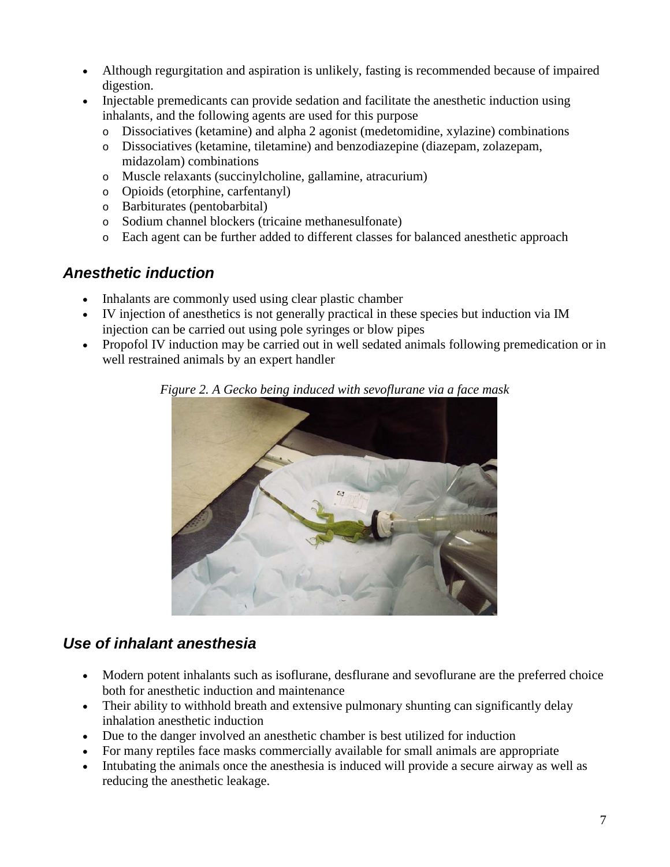- Although regurgitation and aspiration is unlikely, fasting is recommended because of impaired digestion.
- Injectable premedicants can provide sedation and facilitate the anesthetic induction using inhalants, and the following agents are used for this purpose
	- o Dissociatives (ketamine) and alpha 2 agonist (medetomidine, xylazine) combinations
	- Dissociatives (ketamine, tiletamine) and benzodiazepine (diazepam, zolazepam, midazolam) combinations
	- o Muscle relaxants (succinylcholine, gallamine, atracurium)
	- o Opioids (etorphine, carfentanyl)
	- o Barbiturates (pentobarbital)
	- o Sodium channel blockers (tricaine methanesulfonate)
	- o Each agent can be further added to different classes for balanced anesthetic approach

#### *Anesthetic induction*

- Inhalants are commonly used using clear plastic chamber
- IV injection of anesthetics is not generally practical in these species but induction via IM injection can be carried out using pole syringes or blow pipes
- Propofol IV induction may be carried out in well sedated animals following premedication or in well restrained animals by an expert handler



*Figure 2. A Gecko being induced with sevoflurane via a face mask*

#### *Use of inhalant anesthesia*

- Modern potent inhalants such as isoflurane, desflurane and sevoflurane are the preferred choice both for anesthetic induction and maintenance
- Their ability to withhold breath and extensive pulmonary shunting can significantly delay inhalation anesthetic induction
- Due to the danger involved an anesthetic chamber is best utilized for induction
- For many reptiles face masks commercially available for small animals are appropriate
- Intubating the animals once the anesthesia is induced will provide a secure airway as well as reducing the anesthetic leakage.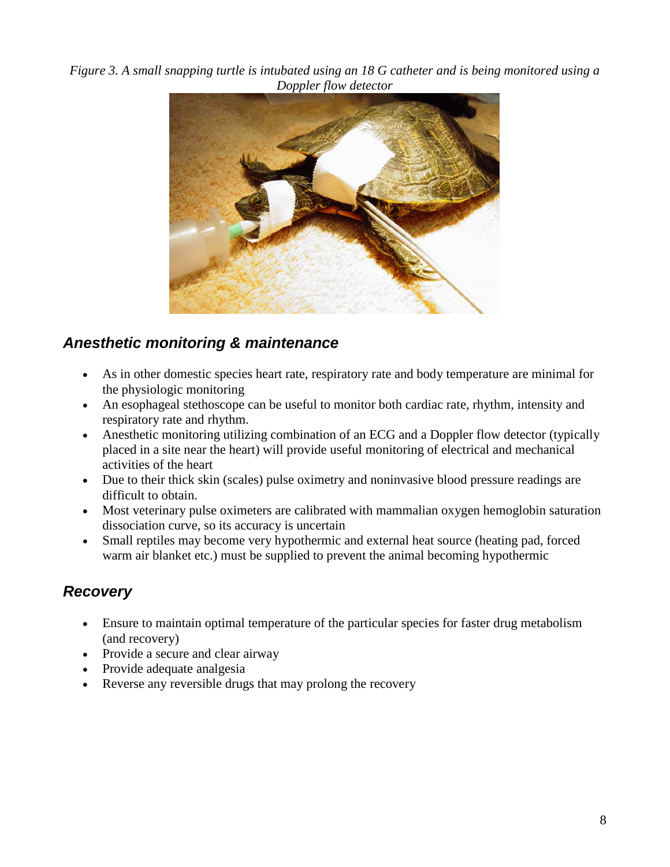*Figure 3. A small snapping turtle is intubated using an 18 G catheter and is being monitored using a Doppler flow detector*



#### *Anesthetic monitoring & maintenance*

- As in other domestic species heart rate, respiratory rate and body temperature are minimal for the physiologic monitoring
- An esophageal stethoscope can be useful to monitor both cardiac rate, rhythm, intensity and respiratory rate and rhythm.
- Anesthetic monitoring utilizing combination of an ECG and a Doppler flow detector (typically placed in a site near the heart) will provide useful monitoring of electrical and mechanical activities of the heart
- Due to their thick skin (scales) pulse oximetry and noninvasive blood pressure readings are difficult to obtain.
- Most veterinary pulse oximeters are calibrated with mammalian oxygen hemoglobin saturation dissociation curve, so its accuracy is uncertain
- Small reptiles may become very hypothermic and external heat source (heating pad, forced warm air blanket etc.) must be supplied to prevent the animal becoming hypothermic

### *Recovery*

- Ensure to maintain optimal temperature of the particular species for faster drug metabolism (and recovery)
- Provide a secure and clear airway
- Provide adequate analgesia
- Reverse any reversible drugs that may prolong the recovery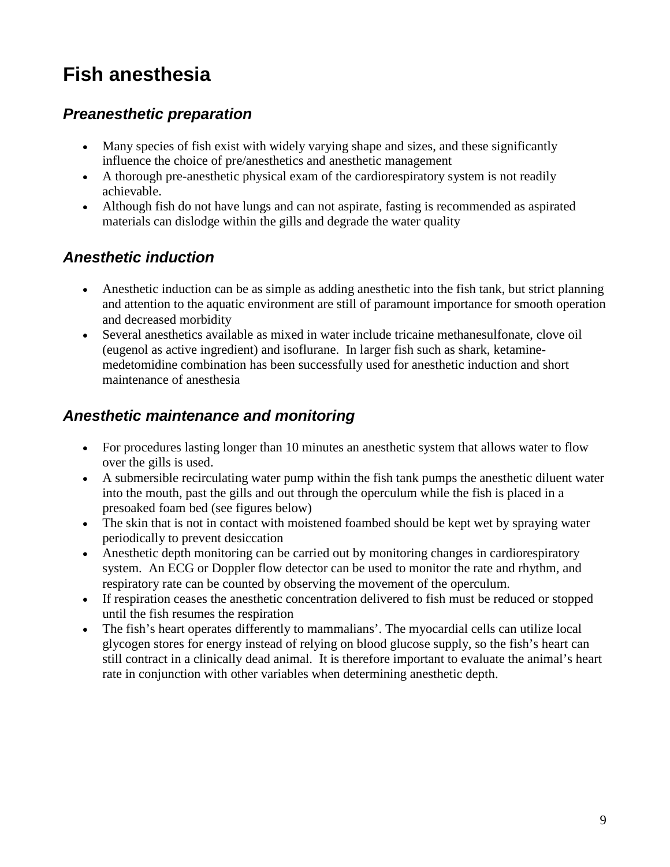## **Fish anesthesia**

#### *Preanesthetic preparation*

- Many species of fish exist with widely varying shape and sizes, and these significantly influence the choice of pre/anesthetics and anesthetic management
- A thorough pre-anesthetic physical exam of the cardiorespiratory system is not readily achievable.
- Although fish do not have lungs and can not aspirate, fasting is recommended as aspirated materials can dislodge within the gills and degrade the water quality

#### *Anesthetic induction*

- Anesthetic induction can be as simple as adding anesthetic into the fish tank, but strict planning and attention to the aquatic environment are still of paramount importance for smooth operation and decreased morbidity
- Several anesthetics available as mixed in water include tricaine methanesulfonate, clove oil (eugenol as active ingredient) and isoflurane. In larger fish such as shark, ketaminemedetomidine combination has been successfully used for anesthetic induction and short maintenance of anesthesia

#### *Anesthetic maintenance and monitoring*

- For procedures lasting longer than 10 minutes an anesthetic system that allows water to flow over the gills is used.
- A submersible recirculating water pump within the fish tank pumps the anesthetic diluent water into the mouth, past the gills and out through the operculum while the fish is placed in a presoaked foam bed (see figures below)
- The skin that is not in contact with moistened foambed should be kept wet by spraying water periodically to prevent desiccation
- Anesthetic depth monitoring can be carried out by monitoring changes in cardiorespiratory system. An ECG or Doppler flow detector can be used to monitor the rate and rhythm, and respiratory rate can be counted by observing the movement of the operculum.
- If respiration ceases the anesthetic concentration delivered to fish must be reduced or stopped until the fish resumes the respiration
- The fish's heart operates differently to mammalians'. The myocardial cells can utilize local glycogen stores for energy instead of relying on blood glucose supply, so the fish's heart can still contract in a clinically dead animal. It is therefore important to evaluate the animal's heart rate in conjunction with other variables when determining anesthetic depth.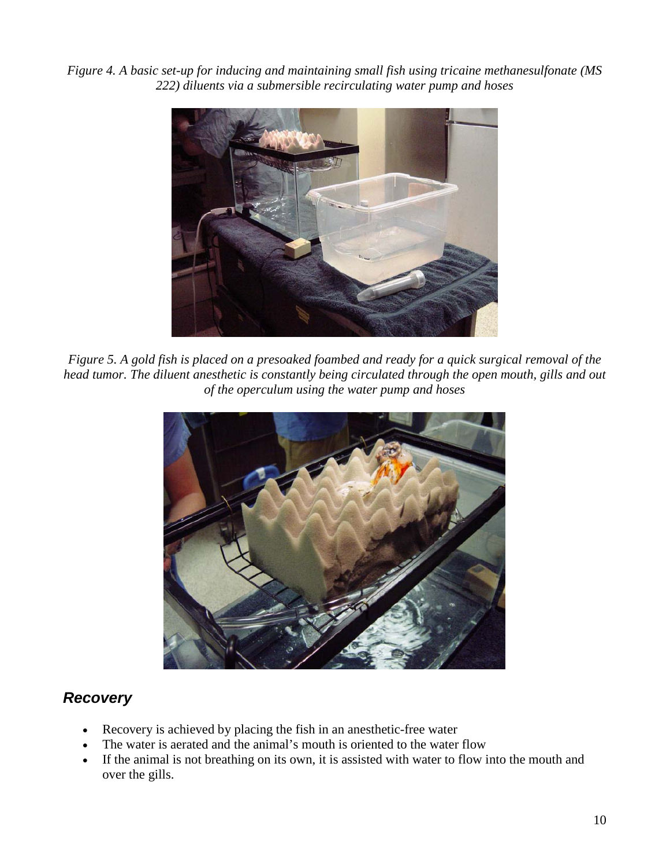*Figure 4. A basic set-up for inducing and maintaining small fish using tricaine methanesulfonate (MS 222) diluents via a submersible recirculating water pump and hoses*



*Figure 5. A gold fish is placed on a presoaked foambed and ready for a quick surgical removal of the head tumor. The diluent anesthetic is constantly being circulated through the open mouth, gills and out of the operculum using the water pump and hoses*



#### *Recovery*

- Recovery is achieved by placing the fish in an anesthetic-free water
- The water is aerated and the animal's mouth is oriented to the water flow
- If the animal is not breathing on its own, it is assisted with water to flow into the mouth and over the gills.